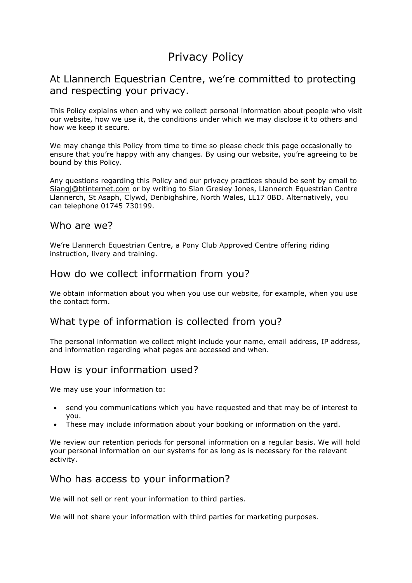# Privacy Policy

## At Llannerch Equestrian Centre, we're committed to protecting and respecting your privacy.

This Policy explains when and why we collect personal information about people who visit our website, how we use it, the conditions under which we may disclose it to others and how we keep it secure.

We may change this Policy from time to time so please check this page occasionally to ensure that you're happy with any changes. By using our website, you're agreeing to be bound by this Policy.

Any questions regarding this Policy and our privacy practices should be sent by email to Siangj@btinternet.com or by writing to Sian Gresley Jones, Llannerch Equestrian Centre Llannerch, St Asaph, Clywd, Denbighshire, North Wales, LL17 0BD. Alternatively, you can telephone 01745 730199.

#### Who are we?

We're Llannerch Equestrian Centre, a Pony Club Approved Centre offering riding instruction, livery and training.

## How do we collect information from you?

We obtain information about you when you use our website, for example, when you use the contact form.

## What type of information is collected from you?

The personal information we collect might include your name, email address, IP address, and information regarding what pages are accessed and when.

## How is your information used?

We may use your information to:

- send you communications which you have requested and that may be of interest to you.
- These may include information about your booking or information on the yard.

We review our retention periods for personal information on a regular basis. We will hold your personal information on our systems for as long as is necessary for the relevant activity.

## Who has access to your information?

We will not sell or rent your information to third parties.

We will not share your information with third parties for marketing purposes.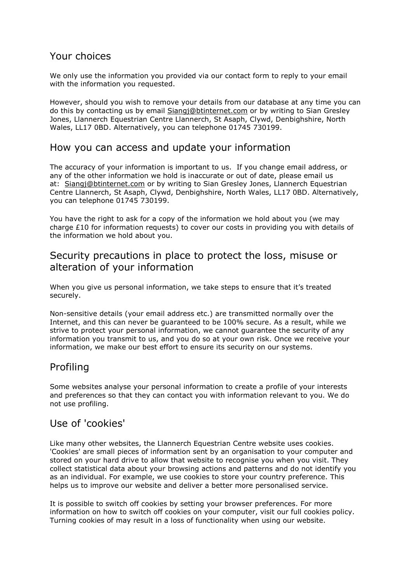## Your choices

We only use the information you provided via our contact form to reply to your email with the information you requested.

However, should you wish to remove your details from our database at any time you can do this by contacting us by email Siangj@btinternet.com or by writing to Sian Gresley Jones, Llannerch Equestrian Centre Llannerch, St Asaph, Clywd, Denbighshire, North Wales, LL17 0BD. Alternatively, you can telephone 01745 730199.

### How you can access and update your information

The accuracy of your information is important to us. If you change email address, or any of the other information we hold is inaccurate or out of date, please email us at: Siangj@btinternet.com or by writing to Sian Gresley Jones, Llannerch Equestrian Centre Llannerch, St Asaph, Clywd, Denbighshire, North Wales, LL17 0BD. Alternatively, you can telephone 01745 730199.

You have the right to ask for a copy of the information we hold about you (we may charge £10 for information requests) to cover our costs in providing you with details of the information we hold about you.

## Security precautions in place to protect the loss, misuse or alteration of your information

When you give us personal information, we take steps to ensure that it's treated securely.

Non-sensitive details (your email address etc.) are transmitted normally over the Internet, and this can never be guaranteed to be 100% secure. As a result, while we strive to protect your personal information, we cannot guarantee the security of any information you transmit to us, and you do so at your own risk. Once we receive your information, we make our best effort to ensure its security on our systems.

### Profiling

Some websites analyse your personal information to create a profile of your interests and preferences so that they can contact you with information relevant to you. We do not use profiling.

### Use of 'cookies'

Like many other websites, the Llannerch Equestrian Centre website uses cookies. 'Cookies' are small pieces of information sent by an organisation to your computer and stored on your hard drive to allow that website to recognise you when you visit. They collect statistical data about your browsing actions and patterns and do not identify you as an individual. For example, we use cookies to store your country preference. This helps us to improve our website and deliver a better more personalised service.

It is possible to switch off cookies by setting your browser preferences. For more information on how to switch off cookies on your computer, visit our full cookies policy. Turning cookies of may result in a loss of functionality when using our website.